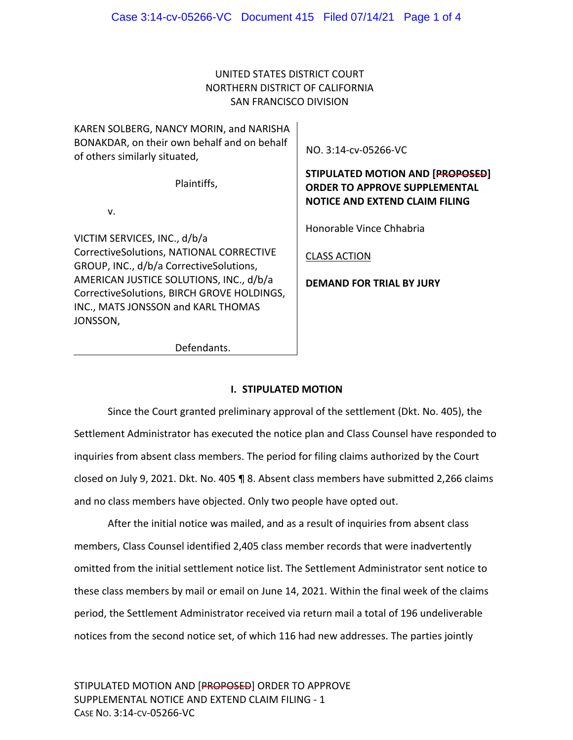# UNITED STATES DISTRICT COURT NORTHERN DISTRICT OF CALIFORNIA SAN FRANCISCO DIVISION

| KAREN SOLBERG, NANCY MORIN, and NARISHA<br>BONAKDAR, on their own behalf and on behalf<br>of others similarly situated,     | NO. 3:14-cv-05266-VC                                                                                                     |
|-----------------------------------------------------------------------------------------------------------------------------|--------------------------------------------------------------------------------------------------------------------------|
| Plaintiffs,                                                                                                                 | <b>STIPULATED MOTION AND [PROPOSED]</b><br><b>ORDER TO APPROVE SUPPLEMENTAL</b><br><b>NOTICE AND EXTEND CLAIM FILING</b> |
| $V_{\cdot}$                                                                                                                 |                                                                                                                          |
| VICTIM SERVICES, INC., d/b/a                                                                                                | Honorable Vince Chhabria                                                                                                 |
| CorrectiveSolutions, NATIONAL CORRECTIVE<br>GROUP, INC., d/b/a CorrectiveSolutions,                                         | <b>CLASS ACTION</b>                                                                                                      |
| AMERICAN JUSTICE SOLUTIONS, INC., d/b/a<br>CorrectiveSolutions, BIRCH GROVE HOLDINGS,<br>INC., MATS JONSSON and KARL THOMAS | <b>DEMAND FOR TRIAL BY JURY</b>                                                                                          |
| JONSSON,                                                                                                                    |                                                                                                                          |
| Defendants.                                                                                                                 |                                                                                                                          |
|                                                                                                                             |                                                                                                                          |

### **I. STIPULATED MOTION**

Since the Court granted preliminary approval of the settlement (Dkt. No. 405), the Settlement Administrator has executed the notice plan and Class Counsel have responded to inquiries from absent class members. The period for filing claims authorized by the Court closed on July 9, 2021. Dkt. No. 405 ¶ 8. Absent class members have submitted 2,266 claims and no class members have objected. Only two people have opted out.

After the initial notice was mailed, and as a result of inquiries from absent class members, Class Counsel identified 2,405 class member records that were inadvertently omitted from the initial settlement notice list. The Settlement Administrator sent notice to these class members by mail or email on June 14, 2021. Within the final week of the claims period, the Settlement Administrator received via return mail a total of 196 undeliverable notices from the second notice set, of which 116 had new addresses. The parties jointly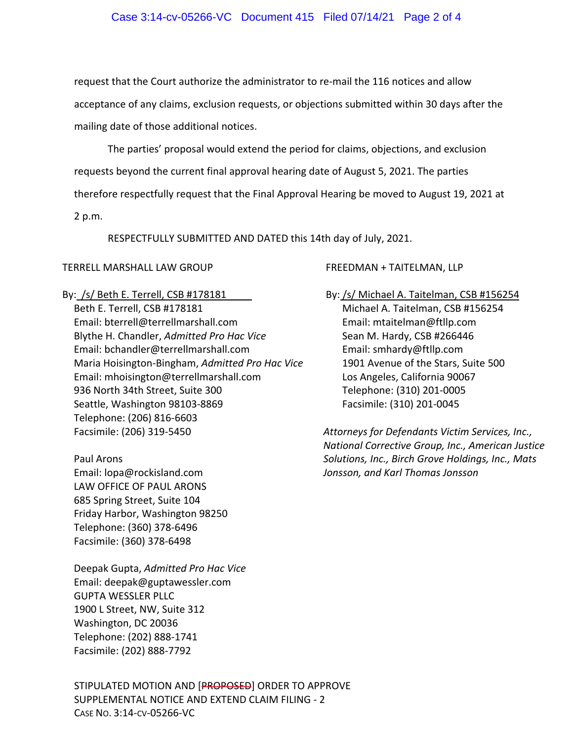#### Case 3:14-cv-05266-VC Document 415 Filed 07/14/21 Page 2 of 4

request that the Court authorize the administrator to re-mail the 116 notices and allow acceptance of any claims, exclusion requests, or objections submitted within 30 days after the mailing date of those additional notices.

The parties' proposal would extend the period for claims, objections, and exclusion requests beyond the current final approval hearing date of August 5, 2021. The parties therefore respectfully request that the Final Approval Hearing be moved to August 19, 2021 at

2 p.m.

RESPECTFULLY SUBMITTED AND DATED this 14th day of July, 2021.

#### TERRELL MARSHALL LAW GROUP

By: /s/ Beth E. Terrell, CSB #178181 Beth E. Terrell, CSB #178181 Email: bterrell@terrellmarshall.com Blythe H. Chandler, *Admitted Pro Hac Vice* Email: bchandler@terrellmarshall.com Maria Hoisington‐Bingham, *Admitted Pro Hac Vice* Email: mhoisington@terrellmarshall.com 936 North 34th Street, Suite 300 Seattle, Washington 98103‐8869 Telephone: (206) 816‐6603 Facsimile: (206) 319‐5450

Paul Arons Email: lopa@rockisland.com LAW OFFICE OF PAUL ARONS 685 Spring Street, Suite 104 Friday Harbor, Washington 98250 Telephone: (360) 378‐6496 Facsimile: (360) 378‐6498

Deepak Gupta, *Admitted Pro Hac Vice* Email: deepak@guptawessler.com GUPTA WESSLER PLLC 1900 L Street, NW, Suite 312 Washington, DC 20036 Telephone: (202) 888‐1741 Facsimile: (202) 888‐7792

STIPULATED MOTION AND [PROPOSED] ORDER TO APPROVE SUPPLEMENTAL NOTICE AND EXTEND CLAIM FILING ‐ 2 CASE NO. 3:14‐CV‐05266‐VC

FREEDMAN + TAITELMAN, LLP

By: /s/ Michael A. Taitelman, CSB #156254 Michael A. Taitelman, CSB #156254 Email: mtaitelman@ftllp.com Sean M. Hardy, CSB #266446 Email: smhardy@ftllp.com 1901 Avenue of the Stars, Suite 500 Los Angeles, California 90067 Telephone: (310) 201‐0005 Facsimile: (310) 201‐0045

*Attorneys for Defendants Victim Services, Inc., National Corrective Group, Inc., American Justice Solutions, Inc., Birch Grove Holdings, Inc., Mats Jonsson, and Karl Thomas Jonsson*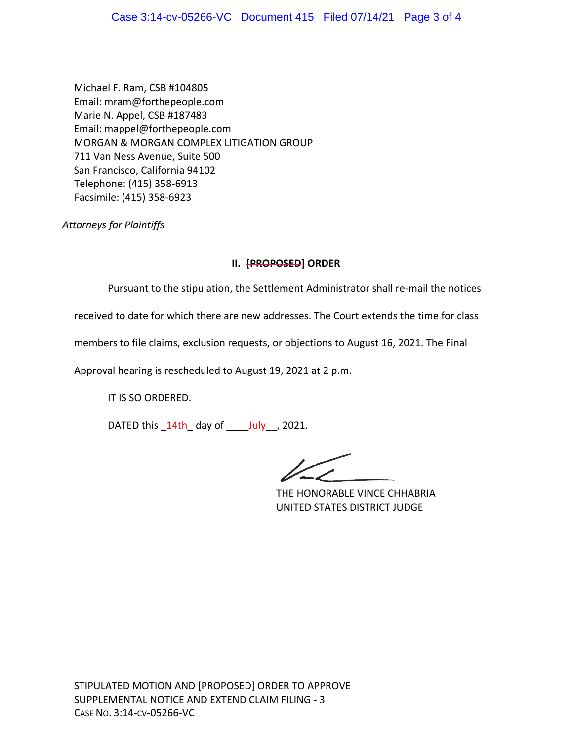Michael F. Ram, CSB #104805 Email: mram@forthepeople.com Marie N. Appel, CSB #187483 Email: mappel@forthepeople.com MORGAN & MORGAN COMPLEX LITIGATION GROUP 711 Van Ness Avenue, Suite 500 San Francisco, California 94102 Telephone: (415) 358‐6913 Facsimile: (415) 358‐6923

*Attorneys for Plaintiffs*

# **II. [PROPOSED] ORDER**

Pursuant to the stipulation, the Settlement Administrator shall re‐mail the notices

received to date for which there are new addresses. The Court extends the time for class

members to file claims, exclusion requests, or objections to August 16, 2021. The Final

Approval hearing is rescheduled to August 19, 2021 at 2 p.m.

IT IS SO ORDERED.

DATED this  $14th$  day of  $July$ , 2021.

THE HONORABLE VINCE CHHABRIA UNITED STATES DISTRICT JUDGE